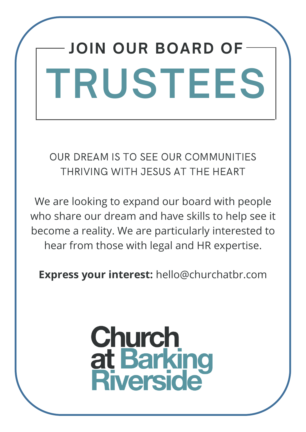# **JOIN OUR BOARD OF TRUSTEES**

OUR DREAM IS TO SEE OUR COMMUNITIES THRIVING WITH JESUS AT THE HEART

We are looking to expand our board with people who share our dream and have skills to help see it become a reality. We are particularly interested to hear from those with legal and HR expertise.

**Express your interest:** hello@churchatbr.com

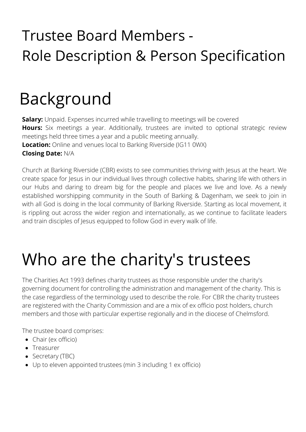#### Trustee Board Members - Role Description & Person Specification

### Background

**Salary:** Unpaid. Expenses incurred while travelling to meetings will be covered **Hours:** Six meetings a year. Additionally, trustees are invited to optional strategic review meetings held three times a year and a public meeting annually. **Location:** Online and venues local to Barking Riverside (IG11 0WX) **Closing Date:** N/A

Church at Barking Riverside (CBR) exists to see communities thriving with Jesus at the heart. We create space for Jesus in our individual lives through collective habits, sharing life with others in our Hubs and daring to dream big for the people and places we live and love. As a newly established worshipping community in the South of Barking & Dagenham, we seek to join in with all God is doing in the local community of Barking Riverside. Starting as local movement, it is rippling out across the wider region and internationally, as we continue to facilitate leaders and train disciples of Jesus equipped to follow God in every walk of life.

#### Who are the charity's trustees

The Charities Act 1993 defines charity trustees as those responsible under the charity's governing document for controlling the administration and management of the charity. This is the case regardless of the terminology used to describe the role. For CBR the charity trustees are registered with the Charity Commission and are a mix of ex officio post holders, church members and those with particular expertise regionally and in the diocese of Chelmsford.

The trustee board comprises:

- Chair (ex officio)
- Treasurer
- Secretary (TBC)
- Up to eleven appointed trustees (min 3 including 1 ex officio)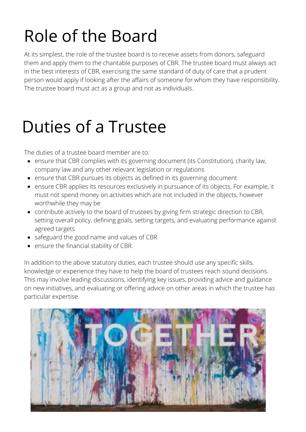# Role of the Board

At its simplest, the role of the trustee board is to receive assets from donors, safeguard them and apply them to the charitable purposes of CBR. The trustee board must always act in the best interests of CBR, exercising the same standard of duty of care that a prudent person would apply if looking after the affairs of someone for whom they have responsibility. The trustee board must act as a group and not as individuals.

### Duties of a Trustee

The duties of a trustee board member are to:

- ensure that CBR complies with its governing document (its Constitution), charity law, company law and any other relevant legislation or regulations
- ensure that CBR pursues its objects as defined in its governing document
- ensure CBR applies its resources exclusively in pursuance of its objects. For example, it must not spend money on activities which are not included in the objects, however worthwhile they may be
- contribute actively to the board of trustees by giving firm strategic direction to CBR, setting overall policy, defining goals, setting targets, and evaluating performance against agreed targets
- safeguard the good name and values of CBR
- ensure the financial stability of CBR.

In addition to the above statutory duties, each trustee should use any specific skills, knowledge or experience they have to help the board of trustees reach sound decisions. This may involve leading discussions, identifying key issues, providing advice and guidance on new initiatives, and evaluating or offering advice on other areas in which the trustee has particular expertise.